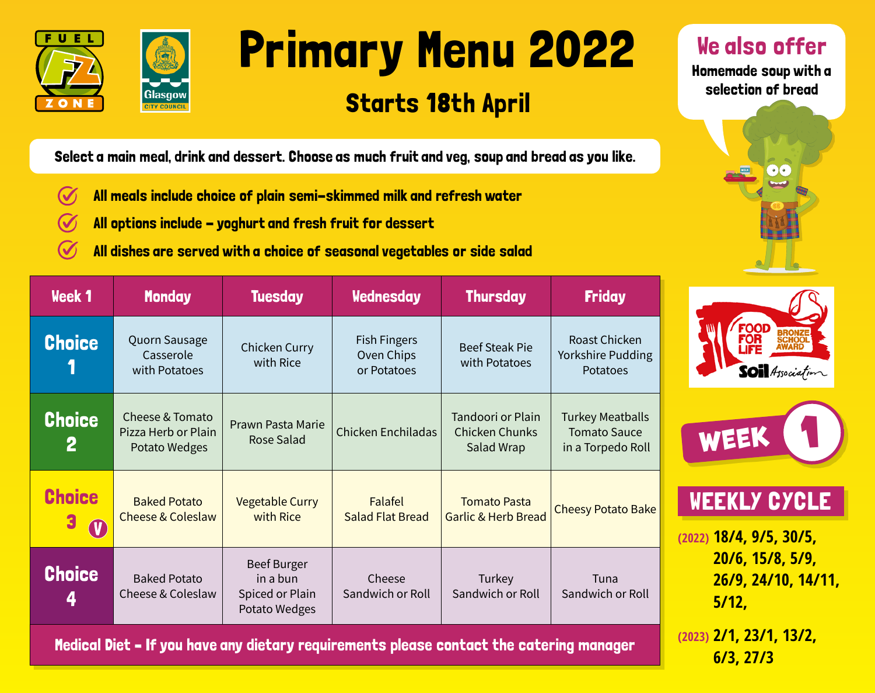



# Primary Menu 2022

### Starts 18th April

We also offer

Homemade soup with a selection of bread



**6/3, 27/3**

Select a main meal, drink and dessert. Choose as much fruit and veg, soup and bread as you like.

- $\boldsymbol{C}$ All meals include choice of plain semi-skimmed milk and refresh water
- All options include yoghurt and fresh fruit for dessert
- All dishes are served with a choice of seasonal vegetables or side salad

| <b>Week 1</b>                                                                          | <b>Monday</b>                                           | <b>Tuesday</b>                                              | <b>Wednesday</b>                                 | <b>Thursday</b>                                          | <b>Friday</b>                                                       |                                                  |
|----------------------------------------------------------------------------------------|---------------------------------------------------------|-------------------------------------------------------------|--------------------------------------------------|----------------------------------------------------------|---------------------------------------------------------------------|--------------------------------------------------|
| <b>Choice</b>                                                                          | Quorn Sausage<br>Casserole<br>with Potatoes             | Chicken Curry<br>with Rice                                  | <b>Fish Fingers</b><br>Oven Chips<br>or Potatoes | <b>Beef Steak Pie</b><br>with Potatoes                   | Roast Chicken<br>Yorkshire Pudding<br>Potatoes                      | <b>FOOD</b><br>Soil Association                  |
| <b>Choice</b><br>$\mathbf{2}$                                                          | Cheese & Tomato<br>Pizza Herb or Plain<br>Potato Wedges | Prawn Pasta Marie<br><b>Rose Salad</b>                      | Chicken Enchiladas                               | Tandoori or Plain<br><b>Chicken Chunks</b><br>Salad Wrap | <b>Turkey Meatballs</b><br><b>Tomato Sauce</b><br>in a Torpedo Roll | WEEK                                             |
| <b>Choice</b><br>3<br><b>V</b>                                                         | <b>Baked Potato</b><br><b>Cheese &amp; Coleslaw</b>     | <b>Vegetable Curry</b><br>with Rice                         | Falafel<br><b>Salad Flat Bread</b>               | <b>Tomato Pasta</b><br><b>Garlic &amp; Herb Bread</b>    | <b>Cheesy Potato Bake</b>                                           | <b>WEEKLY CYCLE</b><br>$(2022)$ 18/4, 9/5, 30/5, |
| <b>Choice</b><br>4                                                                     | <b>Baked Potato</b><br>Cheese & Coleslaw                | Beef Burger<br>in a bun<br>Spiced or Plain<br>Potato Wedges | Cheese<br>Sandwich or Roll                       | Turkey<br>Sandwich or Roll                               | Tuna<br>Sandwich or Roll                                            | 20/6, 15/8, 5/9,<br>26/9, 24/10, 14/11,<br>5/12. |
| Modinal Biot - If you have any distany nominoments please sortaat the oatsuing manager | $(2023)$ 2/1, 23/1, 13/2,                               |                                                             |                                                  |                                                          |                                                                     |                                                  |

Medical Diet – If you have any dietary requirements please contact the catering manager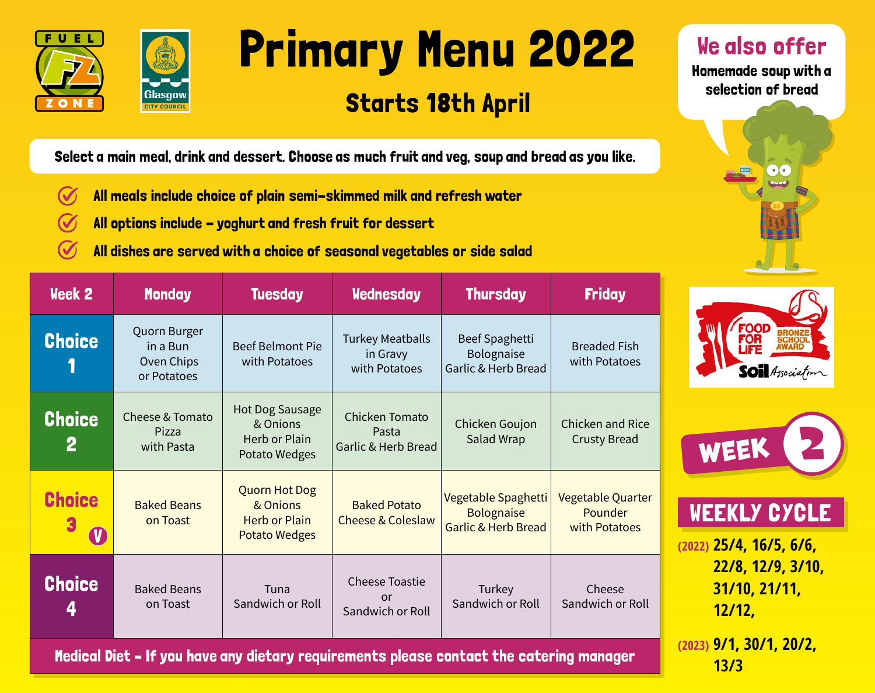



# Primary Menu 2022

#### Starts 18th April

We also offer

Homemade soup with a selection of bread



LE

**13/3**

Select a main meal, drink and dessert. Choose as much fruit and veg, soup and bread as you like.

- $\boldsymbol{C}$ All meals include choice of plain semi-skimmed milk and refresh water
- All options include yoghurt and fresh fruit for dessert
- All dishes are served with a choice of seasonal vegetables or side salad

|                                                  | <b>Friday</b>                                        | <b>Thursday</b>                                                            | <b>Wednesday</b>                                       | <b>Tuesday</b>                                                                   | <b>Monday</b>                                         | Week 2                        |  |  |
|--------------------------------------------------|------------------------------------------------------|----------------------------------------------------------------------------|--------------------------------------------------------|----------------------------------------------------------------------------------|-------------------------------------------------------|-------------------------------|--|--|
| <b>FOOD</b><br>FOR<br><b>SOI</b> Association     | <b>Breaded Fish</b><br>with Potatoes                 | Beef Spaghetti<br>Bolognaise<br>Garlic & Herb Bread                        | <b>Turkey Meatballs</b><br>in Gravy<br>with Potatoes   | <b>Beef Belmont Pie</b><br>with Potatoes                                         | Quorn Burger<br>in a Bun<br>Oven Chips<br>or Potatoes | <b>Choice</b>                 |  |  |
| WEEK                                             | Chicken and Rice<br><b>Crusty Bread</b>              | Chicken Goujon<br>Salad Wrap                                               | <b>Chicken Tomato</b><br>Pasta<br>Garlic & Herb Bread  | <b>Hot Dog Sausage</b><br>& Onions<br>Herb or Plain<br>Potato Wedges             | Cheese & Tomato<br>Pizza<br>with Pasta                | <b>Choice</b><br>$\mathbf{2}$ |  |  |
| <b>WEEKLY CYCLE</b><br>$(2022)$ 25/4, 16/5, 6/6, | Vegetable Quarter<br><b>Pounder</b><br>with Potatoes | Vegetable Spaghetti<br><b>Bolognaise</b><br><b>Garlic &amp; Herb Bread</b> | <b>Baked Potato</b><br><b>Cheese &amp; Coleslaw</b>    | <b>Quorn Hot Dog</b><br>& Onions<br><b>Herb or Plain</b><br><b>Potato Wedges</b> | <b>Baked Beans</b><br>on Toast                        | <b>Choice</b>                 |  |  |
| 22/8, 12/9, 3/10,<br>31/10, 21/11,<br>12/12,     | Cheese<br>Sandwich or Roll                           | Turkey<br>Sandwich or Roll                                                 | <b>Cheese Toastie</b><br><b>or</b><br>Sandwich or Roll | Tuna<br>Sandwich or Roll                                                         | <b>Baked Beans</b><br>on Toast                        | <b>Choice</b><br>4            |  |  |
| <u>(2023) <b>9/1, 30/1, 20/2,</b></u>            |                                                      |                                                                            |                                                        |                                                                                  |                                                       |                               |  |  |

Medical Diet – If you have any dietary requirements please contact the catering manager